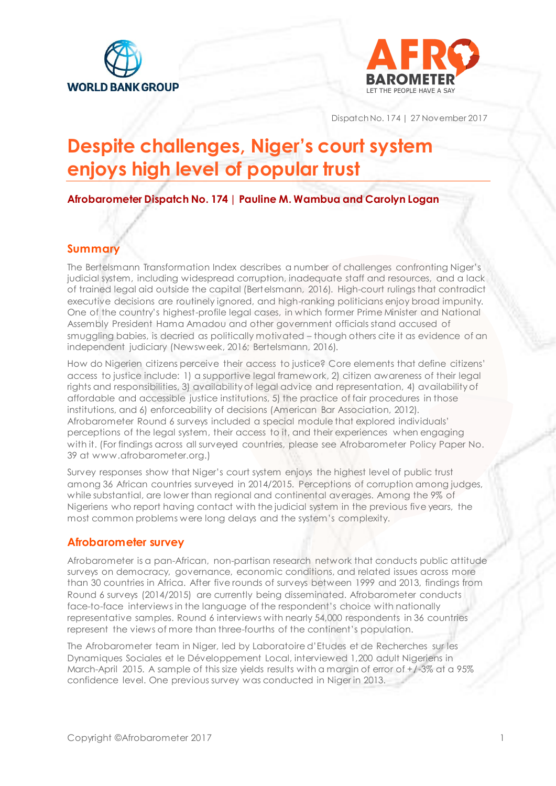



Dispatch No. 174 | 27 November 2017

# **Despite challenges, Niger's court system enjoys high level of popular trust**

**Afrobarometer Dispatch No. 174 | Pauline M. Wambua and Carolyn Logan**

#### **Summary**

The Bertelsmann Transformation Index describes a number of challenges confronting Niger's judicial system, including widespread corruption, inadequate staff and resources, and a lack of trained legal aid outside the capital (Bertelsmann, 2016). High-court rulings that contradict executive decisions are routinely ignored, and high-ranking politicians enjoy broad impunity. One of the country's highest-profile legal cases, in which former Prime Minister and National Assembly President Hama Amadou and other government officials stand accused of smuggling babies, is decried as politically motivated – though others cite it as evidence of an independent judiciary (Newsweek, 2016; Bertelsmann, 2016).

How do Nigerien citizens perceive their access to justice? Core elements that define citizens' access to justice include: 1) a supportive legal framework, 2) citizen awareness of their legal rights and responsibilities, 3) availability of legal advice and representation, 4) availability of affordable and accessible justice institutions, 5) the practice of fair procedures in those institutions, and 6) enforceability of decisions (American Bar Association, 2012). Afrobarometer Round 6 surveys included a special module that explored individuals' perceptions of the legal system, their access to it, and their experiences when engaging with it. (For findings across all surveyed countries, please see Afrobarometer Policy Paper No. 39 at www.afrobarometer.org.)

Survey responses show that Niger's court system enjoys the highest level of public trust among 36 African countries surveyed in 2014/2015. Perceptions of corruption among judges, while substantial, are lower than regional and continental averages. Among the 9% of Nigeriens who report having contact with the judicial system in the previous five years, the most common problems were long delays and the system's complexity.

#### **Afrobarometer survey**

Afrobarometer is a pan-African, non-partisan research network that conducts public attitude surveys on democracy, governance, economic conditions, and related issues across more than 30 countries in Africa. After five rounds of surveys between 1999 and 2013, findings from Round 6 surveys (2014/2015) are currently being disseminated. Afrobarometer conducts face-to-face interviews in the language of the respondent's choice with nationally representative samples. Round 6 interviews with nearly 54,000 respondents in 36 countries represent the views of more than three-fourths of the continent's population.

The Afrobarometer team in Niger, led by Laboratoire d'Etudes et de Recherches sur les Dynamiques Sociales et le Développement Local, interviewed 1,200 adult Nigeriens in March-April 2015. A sample of this size yields results with a margin of error of  $+/-3\%$  at a 95% confidence level. One previous survey was conducted in Niger in 2013.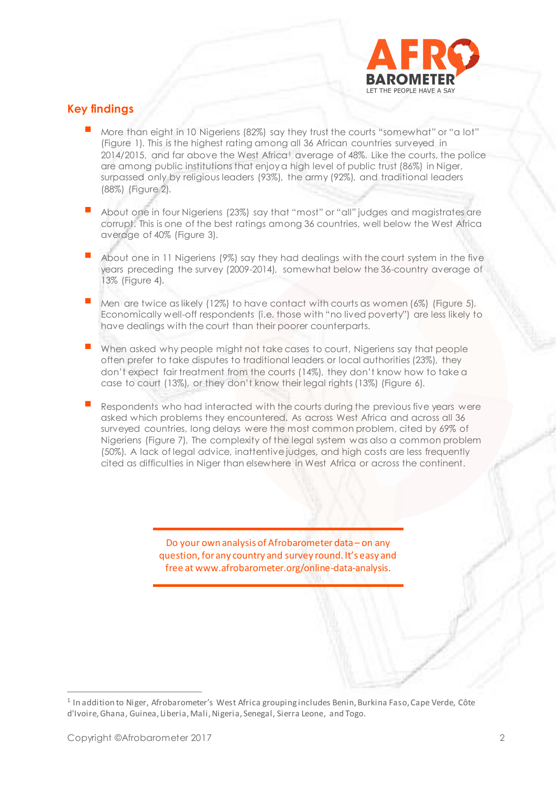

## **Key findings**

- More than eight in 10 Nigeriens (82%) say they trust the courts "somewhat" or "a lot" (Figure 1). This is the highest rating among all 36 African countries surveyed in  $2014/2015$ , and far above the West Africa<sup>1</sup> average of 48%. Like the courts, the police are among public institutions that enjoy a high level of public trust (86%) in Niger, surpassed only by religious leaders (93%), the army (92%), and traditional leaders (88%) (Figure 2).
- About one in four Nigeriens (23%) say that "most" or "all" judges and magistrates are corrupt. This is one of the best ratings among 36 countries, well below the West Africa average of 40% (Figure 3).
- About one in 11 Nigeriens (9%) say they had dealings with the court system in the five years preceding the survey (2009-2014), somewhat below the 36-country average of 13% (Figure 4).
- Men are twice as likely (12%) to have contact with courts as women (6%) (Figure 5). Economically well-off respondents (i.e. those with "no lived poverty") are less likely to have dealings with the court than their poorer counterparts.
- When asked why people might not take cases to court, Nigeriens say that people often prefer to take disputes to traditional leaders or local authorities (23%), they don't expect fair treatment from the courts (14%), they don't know how to take a case to court (13%), or they don't know their legal rights (13%) (Figure 6).
- Respondents who had interacted with the courts during the previous five years were asked which problems they encountered. As across West Africa and across all 36 surveyed countries, long delays were the most common problem, cited by 69% of Nigeriens (Figure 7). The complexity of the legal system was also a common problem (50%). A lack of legal advice, inattentive judges, and high costs are less frequently cited as difficulties in Niger than elsewhere in West Africa or across the continent.

Do your own analysis of Afrobarometer data – on any question, for any country and survey round. It's easy and free at www.afrobarometer.org/online-data-analysis.

<sup>1</sup> In addition to Niger, Afrobarometer's West Africa grouping includes Benin, Burkina Faso, Cape Verde, Côte d'Ivoire, Ghana, Guinea, Liberia, Mali, Nigeria, Senegal, Sierra Leone, and Togo.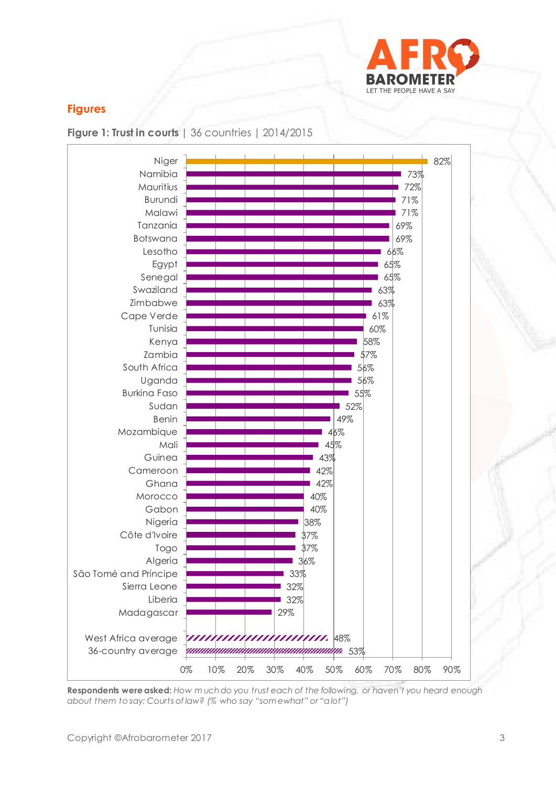

## **Figures**





**Respondents were asked:** *How m uch do you trust each of the following, or haven't you heard enough about them to say: Courts of law? (% who say "som ewhat" or "a lot")*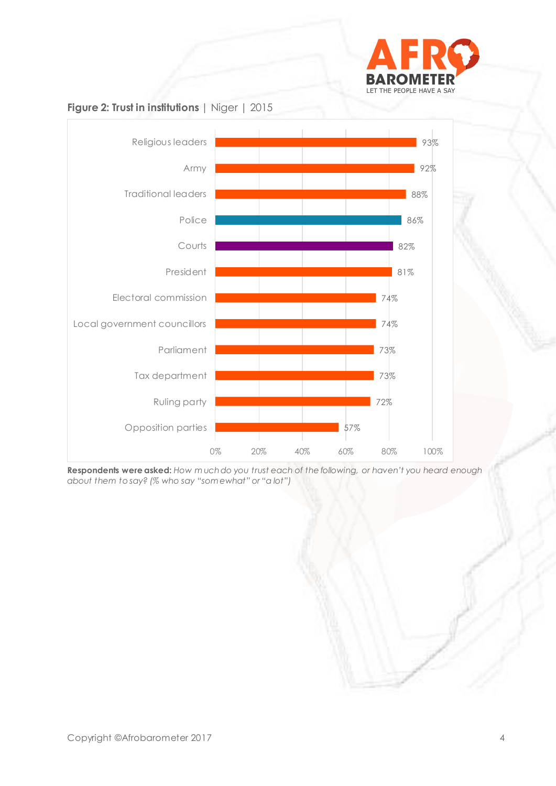



**Respondents were asked:** *How m uch do you trust each of the following, or haven't you heard enough about them to say? (% who say "som ewhat" or "a lot")*

## **Figure 2: Trust in institutions** | Niger | 2015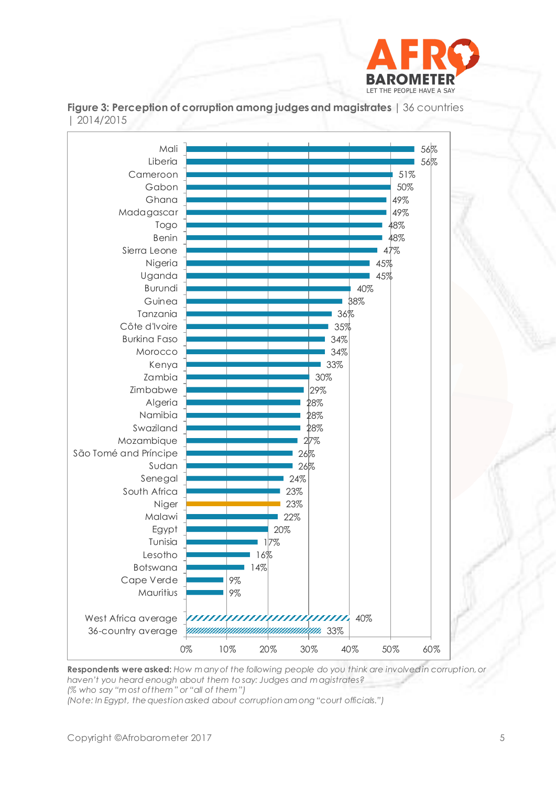





**Respondents were asked:** *How m any of the following people do you think are involved in corruption, or haven't you heard enough about them to say: Judges and m agistrates? (% who say "m ost of them " or "all of them ")*

*(Note: In Egypt, the question asked about corruption am ong "court officials.")*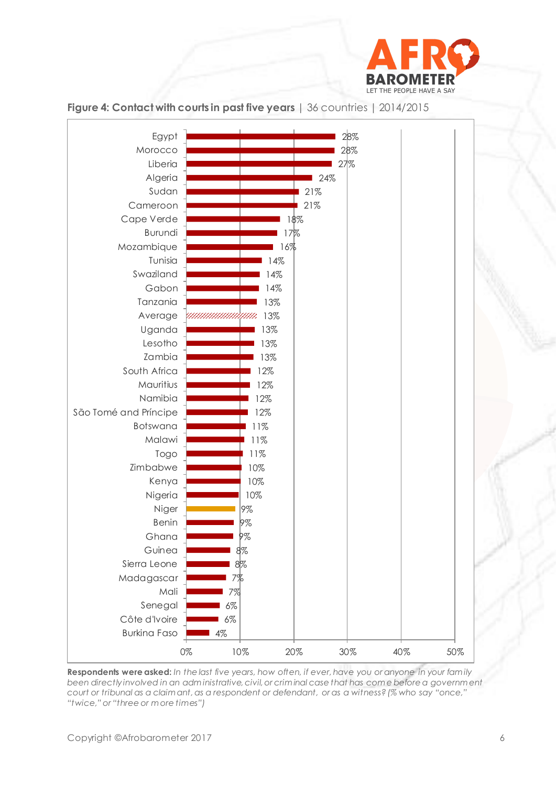



#### **Figure 4: Contact with courts in past five years** | 36 countries | 2014/2015

**Respondents were asked:** *In the last five years, how often, if ever, have you or anyone in your fam ily been directly involved in an adm inistrative, civil, or crim inal case that has com e before a governm ent court or tribunal as a claim ant, as a respondent or defendant, or as a witness? (% who say "once," "twice," or "three or m ore times")*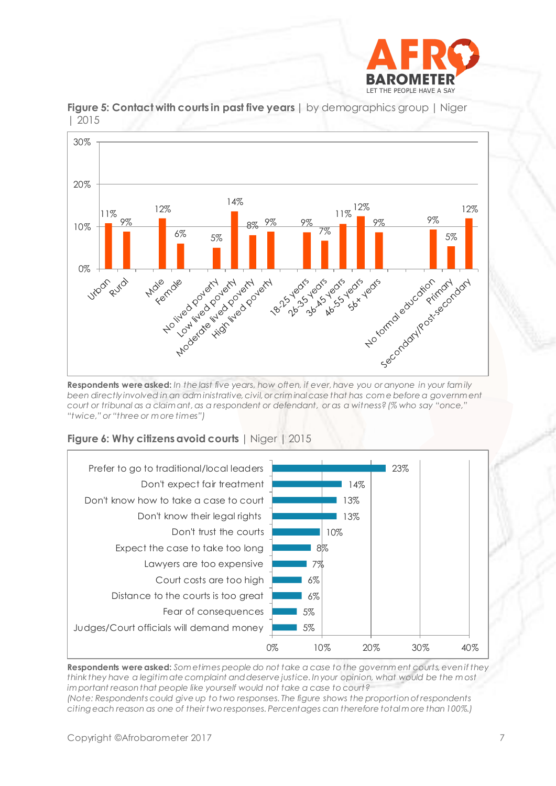



**Figure 5: Contact with courts in past five years | by demographics group | Niger** | 2015

*been directly involved in an adm inistrative, civil, or crim inal case that has com e before a governm ent court or tribunal as a claim ant, as a respondent or defendant, or as a witness? (% who say "once," "twice," or "three or m ore times")*



**Figure 6: Why citizens avoid courts** | Niger | 2015

**Respondents were asked:** *Som etimes people do not take a case to the governm ent courts, even if they think they have a legitim ate complaint and deserve justice. In your opinion, what would be the m ost im portant reason that people like yourself would not take a case to court? (Note: Respondents could give up to two responses. The figure shows the proportion of respondents citing each reason as one of their two responses. Percentages can therefore total m ore than 100%.)*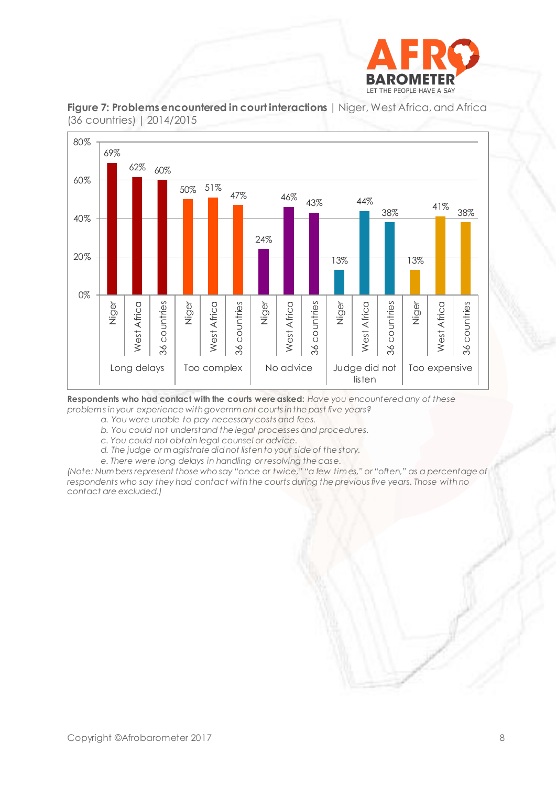



**Figure 7: Problems encountered in court interactions** | Niger, West Africa, and Africa (36 countries) | 2014/2015

**Respondents who had contact with the courts were asked:** *Have you encountered any of these problem s in your experience with governm ent courts in the past five years?*

*a. You were unable to pay necessary costs and fees.*

- *b. You could not understand the legal processes and procedures.*
- *c. You could not obtain legal counsel or advice.*
- *d. The judge or m agistrate did not listen to your side of the story.*
- *e. There were long delays in handling or resolving the case.*

*(Note: Num bers represent those who say "once or twice," "a few tim es," or "often," as a percentage of respondents who say they had contact with the courts during the previous five years. Those with no contact are excluded.)*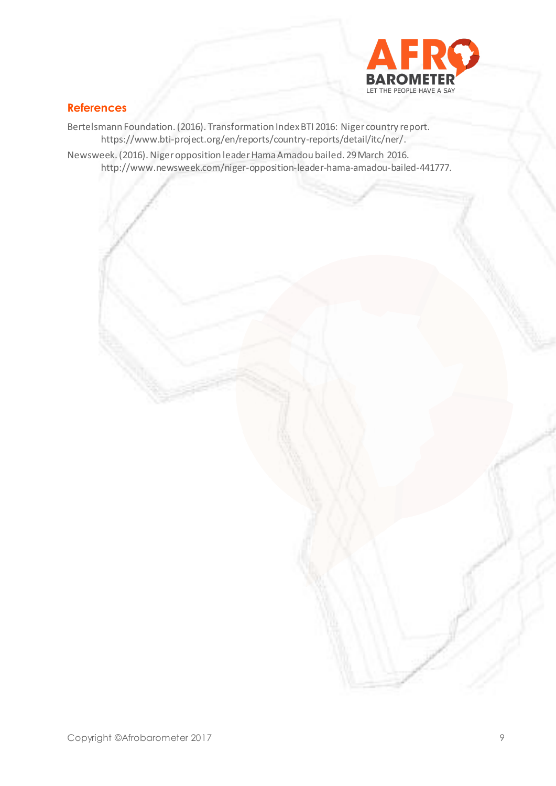

#### **References**

Bertelsmann Foundation. (2016). Transformation Index BTI 2016: Niger country report. <https://www.bti-project.org/en/reports/country-reports/detail/itc/ner/>. Newsweek. (2016). Niger opposition leader Hama Amadou bailed. 29 March 2016. http://www.newsweek.com/niger-opposition-leader-hama-amadou-bailed-441777.